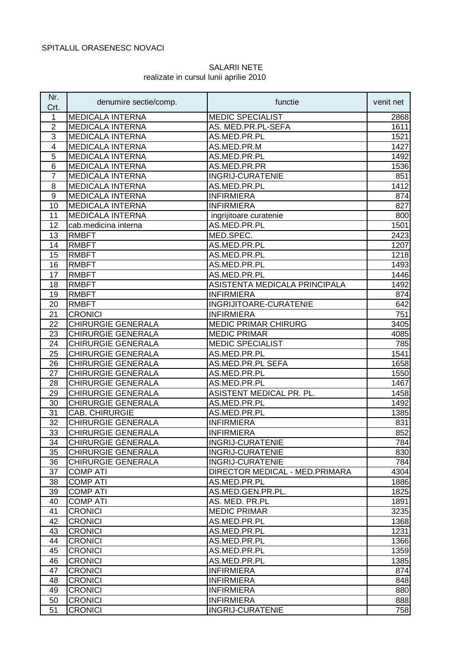## SALARII NETE realizate in cursul lunii aprilie 2010

| Nr.<br>Crt.    | denumire sectie/comp.     | functie                        | venit net |
|----------------|---------------------------|--------------------------------|-----------|
| 1              | <b>MEDICALA INTERNA</b>   | <b>MEDIC SPECIALIST</b>        | 2868      |
| $\overline{2}$ | <b>MEDICALA INTERNA</b>   | AS. MED.PR.PL-SEFA             | 1611      |
| 3              | <b>MEDICALA INTERNA</b>   | AS.MED.PR.PL                   | 1521      |
| 4              | <b>MEDICALA INTERNA</b>   | AS.MED.PR.M                    | 1427      |
| 5              | <b>MEDICALA INTERNA</b>   | AS.MED.PR.PL                   | 1492      |
| 6              | <b>MEDICALA INTERNA</b>   | AS.MED.PR.PR                   | 1536      |
| $\overline{7}$ | <b>MEDICALA INTERNA</b>   | <b>INGRIJ-CURATENIE</b>        | 851       |
| 8              | <b>MEDICALA INTERNA</b>   | AS.MED.PR.PL                   | 1412      |
| 9              | <b>MEDICALA INTERNA</b>   | <b>INFIRMIERA</b>              | 874       |
| 10             | <b>MEDICALA INTERNA</b>   | <b>INFIRMIERA</b>              | 827       |
| 11             | <b>MEDICALA INTERNA</b>   | ingrijitoare curatenie         | 800       |
| 12             | cab.medicina interna      | AS.MED.PR.PL                   | 1501      |
| 13             | <b>RMBFT</b>              | MED.SPEC.                      | 2423      |
| 14             | <b>RMBFT</b>              | AS.MED.PR.PL                   | 1207      |
| 15             | <b>RMBFT</b>              | AS.MED.PR.PL                   | 1218      |
| 16             | <b>RMBFT</b>              | AS.MED.PR.PL                   | 1493      |
| 17             | <b>RMBFT</b>              | AS.MED.PR.PL                   | 1446      |
| 18             | <b>RMBFT</b>              | ASISTENTA MEDICALA PRINCIPALA  | 1492      |
| 19             | <b>RMBFT</b>              | <b>INFIRMIERA</b>              | 874       |
| 20             | <b>RMBFT</b>              | INGRIJITOARE-CURATENIE         | 642       |
| 21             | <b>CRONICI</b>            | <b>INFIRMIERA</b>              | 751       |
| 22             | CHIRURGIE GENERALA        | <b>MEDIC PRIMAR CHIRURG</b>    | 3405      |
| 23             | CHIRURGIE GENERALA        | <b>MEDIC PRIMAR</b>            | 4085      |
| 24             | <b>CHIRURGIE GENERALA</b> | <b>MEDIC SPECIALIST</b>        | 785       |
| 25             | <b>CHIRURGIE GENERALA</b> | AS.MED.PR.PL                   | 1541      |
| 26             | <b>CHIRURGIE GENERALA</b> | AS.MED.PR.PL SEFA              | 1658      |
| 27             | <b>CHIRURGIE GENERALA</b> | AS.MED.PR.PL                   | 1550      |
| 28             | <b>CHIRURGIE GENERALA</b> | AS.MED.PR.PL                   | 1467      |
| 29             | <b>CHIRURGIE GENERALA</b> | ASISTENT MEDICAL PR. PL.       | 1458      |
| 30             | <b>CHIRURGIE GENERALA</b> | AS.MED.PR.PL                   | 1492      |
| 31             | <b>CAB. CHIRURGIE</b>     | AS.MED.PR.PL                   | 1385      |
| 32             | <b>CHIRURGIE GENERALA</b> | <b>INFIRMIERA</b>              | 831       |
| 33             | <b>CHIRURGIE GENERALA</b> | <b>INFIRMIERA</b>              | 852       |
| 34             | CHIRURGIE GENERALA        | <b>INGRIJ-CURATENIE</b>        | 784       |
| 35             | <b>CHIRURGIE GENERALA</b> | <b>INGRIJ-CURATENIE</b>        | 830       |
| 36             | <b>CHIRURGIE GENERALA</b> | <b>INGRIJ-CURATENIE</b>        | 784       |
| 37             | <b>COMP ATI</b>           | DIRECTOR MEDICAL - MED.PRIMARA | 4304      |
| 38             | <b>COMP ATI</b>           | AS.MED.PR.PL                   | 1886      |
| 39             | <b>COMP ATI</b>           | AS.MED.GEN.PR.PL.              | 1825      |
| 40             | <b>COMP ATI</b>           | AS. MED. PR.PL                 | 1891      |
| 41             | <b>CRONICI</b>            | <b>MEDIC PRIMAR</b>            | 3235      |
| 42             | <b>CRONICI</b>            | AS.MED.PR.PL                   | 1368      |
| 43             | <b>CRONICI</b>            | AS.MED.PR.PL                   | 1231      |
| 44             | <b>CRONICI</b>            | AS.MED.PR.PL                   | 1366      |
| 45             | <b>CRONICI</b>            | AS.MED.PR.PL                   | 1359      |
| 46             | <b>CRONICI</b>            | AS.MED.PR.PL                   |           |
|                |                           |                                | 1385      |
| 47             | <b>CRONICI</b>            | <b>INFIRMIERA</b>              | 874       |
| 48             | <b>CRONICI</b>            | <b>INFIRMIERA</b>              | 848       |
| 49             | <b>CRONICI</b>            | <b>INFIRMIERA</b>              | 880       |
| 50             | <b>CRONICI</b>            | <b>INFIRMIERA</b>              | 888       |
| 51             | <b>CRONICI</b>            | <b>INGRIJ-CURATENIE</b>        | 758       |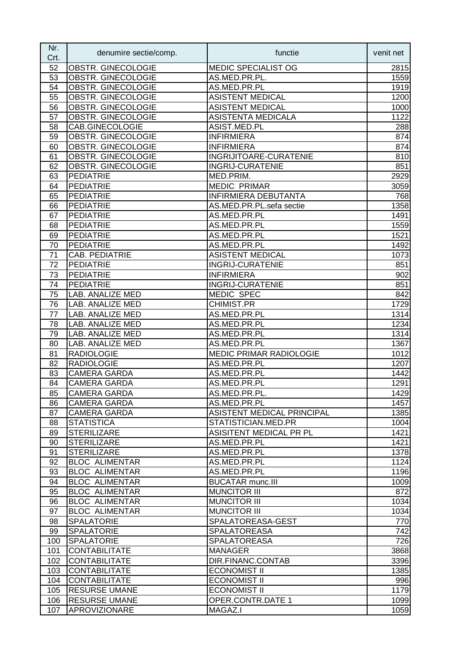| Nr.<br>Crt. | denumire sectie/comp.                       | functie                       | venit net    |
|-------------|---------------------------------------------|-------------------------------|--------------|
| 52          | OBSTR. GINECOLOGIE                          | MEDIC SPECIALIST OG           | 2815         |
| 53          | OBSTR. GINECOLOGIE                          | AS.MED.PR.PL.                 | 1559         |
| 54          | OBSTR. GINECOLOGIE                          | AS.MED.PR.PL                  | 1919         |
| 55          | OBSTR. GINECOLOGIE                          | <b>ASISTENT MEDICAL</b>       | 1200         |
| 56          | OBSTR. GINECOLOGIE                          | <b>ASISTENT MEDICAL</b>       | 1000         |
| 57          | OBSTR. GINECOLOGIE                          | <b>ASISTENTA MEDICALA</b>     | 1122         |
| 58          | CAB.GINECOLOGIE                             | ASIST.MED.PL                  | 288          |
| 59          | OBSTR. GINECOLOGIE                          | <b>INFIRMIERA</b>             | 874          |
| 60          | OBSTR. GINECOLOGIE                          | <b>INFIRMIERA</b>             | 874          |
| 61          | OBSTR. GINECOLOGIE                          | <b>INGRIJITOARE-CURATENIE</b> | 810          |
| 62          | OBSTR. GINECOLOGIE                          | <b>INGRIJ-CURATENIE</b>       | 851          |
| 63          | <b>PEDIATRIE</b>                            | MED.PRIM.                     | 2929         |
| 64          | <b>PEDIATRIE</b>                            | <b>MEDIC PRIMAR</b>           | 3059         |
| 65          | <b>PEDIATRIE</b>                            | <b>INFIRMIERA DEBUTANTA</b>   | 768          |
| 66          | <b>PEDIATRIE</b>                            | AS.MED.PR.PL.sefa sectie      | 1358         |
| 67          | <b>PEDIATRIE</b>                            | AS.MED.PR.PL                  | 1491         |
| 68          | <b>PEDIATRIE</b>                            | AS.MED.PR.PL                  | 1559         |
| 69          | <b>PEDIATRIE</b>                            | AS.MED.PR.PL                  | 1521         |
| 70          | <b>PEDIATRIE</b>                            | AS.MED.PR.PL                  | 1492         |
| 71          | CAB. PEDIATRIE                              | <b>ASISTENT MEDICAL</b>       | 1073         |
| 72          | <b>PEDIATRIE</b>                            | <b>INGRIJ-CURATENIE</b>       | 851          |
| 73          | <b>PEDIATRIE</b>                            | <b>INFIRMIERA</b>             | 902          |
| 74          | <b>PEDIATRIE</b>                            | <b>INGRIJ-CURATENIE</b>       | 851          |
| 75          | LAB. ANALIZE MED                            | MEDIC SPEC                    | 842          |
| 76          | LAB. ANALIZE MED                            | <b>CHIMIST.PR</b>             | 1729         |
| 77          | LAB. ANALIZE MED                            | AS.MED.PR.PL                  | 1314         |
| 78          | LAB. ANALIZE MED                            | AS.MED.PR.PL                  | 1234         |
| 79          | LAB. ANALIZE MED                            | AS.MED.PR.PL                  | 1314         |
| 80          | LAB. ANALIZE MED                            | AS.MED.PR.PL                  | 1367         |
| 81          | <b>RADIOLOGIE</b>                           | MEDIC PRIMAR RADIOLOGIE       | 1012         |
| 82          | <b>RADIOLOGIE</b>                           | AS.MED.PR.PL                  | 1207         |
| 83          | <b>CAMERA GARDA</b>                         | AS.MED.PR.PL                  | 1442         |
| 84          | <b>CAMERA GARDA</b>                         | AS.MED.PR.PL                  | 1291         |
| 85          | <b>CAMERA GARDA</b>                         | AS.MED.PR.PL.                 | 1429         |
| 86          | <b>CAMERA GARDA</b>                         | AS.MED.PR.PL                  | 1457         |
| 87          | <b>CAMERA GARDA</b>                         | ASISTENT MEDICAL PRINCIPAL    | 1385         |
| 88          | <b>STATISTICA</b>                           | STATISTICIAN.MED.PR           | 1004         |
| 89          | <b>STERILIZARE</b>                          | ASISITENT MEDICAL PR PL       | 1421         |
| 90          | <b>STERILIZARE</b>                          | AS.MED.PR.PL                  | 1421         |
| 91<br>92    | <b>STERILIZARE</b><br><b>BLOC ALIMENTAR</b> | AS.MED.PR.PL<br>AS.MED.PR.PL  | 1378<br>1124 |
| 93          | <b>BLOC ALIMENTAR</b>                       | AS.MED.PR.PL                  | 1196         |
| 94          | <b>BLOC ALIMENTAR</b>                       | <b>BUCATAR munc.III</b>       |              |
| 95          | <b>BLOC ALIMENTAR</b>                       | <b>MUNCITOR III</b>           | 1009<br>872  |
| 96          | <b>BLOC ALIMENTAR</b>                       | <b>MUNCITOR III</b>           | 1034         |
| 97          | <b>BLOC ALIMENTAR</b>                       | <b>MUNCITOR III</b>           | 1034         |
| 98          | <b>SPALATORIE</b>                           | SPALATOREASA-GEST             | 770          |
| 99          | <b>SPALATORIE</b>                           | <b>SPALATOREASA</b>           | 742          |
| 100         | <b>SPALATORIE</b>                           | <b>SPALATOREASA</b>           | 726          |
| 101         | <b>CONTABILITATE</b>                        | <b>MANAGER</b>                | 3868         |
| 102         | <b>CONTABILITATE</b>                        | DIR.FINANC.CONTAB             | 3396         |
| 103         | <b>CONTABILITATE</b>                        | <b>ECONOMIST II</b>           | 1385         |
| 104         | <b>CONTABILITATE</b>                        | <b>ECONOMIST II</b>           | 996          |
| 105         | <b>RESURSE UMANE</b>                        | <b>ECONOMIST II</b>           | 1179         |
| 106         | <b>RESURSE UMANE</b>                        | OPER.CONTR.DATE 1             | 1099         |
| 107         | APROVIZIONARE                               | MAGAZ.I                       | 1059         |
|             |                                             |                               |              |